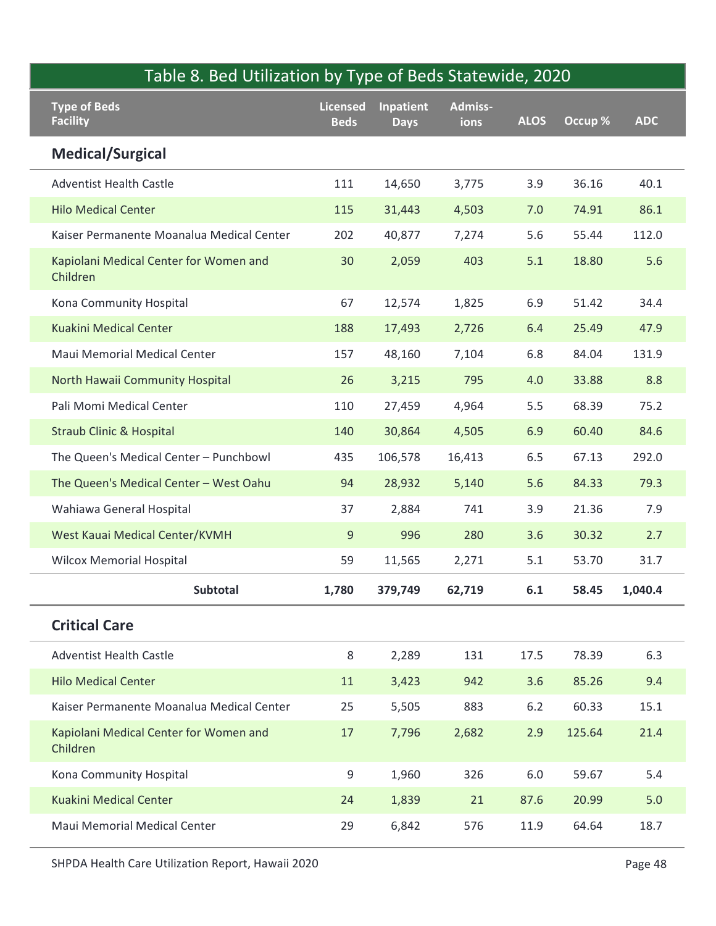| Table 8. Bed Utilization by Type of Beds Statewide, 2020 |                                |                          |                 |             |         |            |
|----------------------------------------------------------|--------------------------------|--------------------------|-----------------|-------------|---------|------------|
| <b>Type of Beds</b><br><b>Facility</b>                   | <b>Licensed</b><br><b>Beds</b> | Inpatient<br><b>Days</b> | Admiss-<br>ions | <b>ALOS</b> | Occup % | <b>ADC</b> |
| <b>Medical/Surgical</b>                                  |                                |                          |                 |             |         |            |
| <b>Adventist Health Castle</b>                           | 111                            | 14,650                   | 3,775           | 3.9         | 36.16   | 40.1       |
| <b>Hilo Medical Center</b>                               | 115                            | 31,443                   | 4,503           | 7.0         | 74.91   | 86.1       |
| Kaiser Permanente Moanalua Medical Center                | 202                            | 40,877                   | 7,274           | 5.6         | 55.44   | 112.0      |
| Kapiolani Medical Center for Women and<br>Children       | 30                             | 2,059                    | 403             | 5.1         | 18.80   | 5.6        |
| Kona Community Hospital                                  | 67                             | 12,574                   | 1,825           | 6.9         | 51.42   | 34.4       |
| <b>Kuakini Medical Center</b>                            | 188                            | 17,493                   | 2,726           | 6.4         | 25.49   | 47.9       |
| Maui Memorial Medical Center                             | 157                            | 48,160                   | 7,104           | 6.8         | 84.04   | 131.9      |
| North Hawaii Community Hospital                          | 26                             | 3,215                    | 795             | 4.0         | 33.88   | 8.8        |
| Pali Momi Medical Center                                 | 110                            | 27,459                   | 4,964           | 5.5         | 68.39   | 75.2       |
| <b>Straub Clinic &amp; Hospital</b>                      | 140                            | 30,864                   | 4,505           | 6.9         | 60.40   | 84.6       |
| The Queen's Medical Center - Punchbowl                   | 435                            | 106,578                  | 16,413          | 6.5         | 67.13   | 292.0      |
| The Queen's Medical Center - West Oahu                   | 94                             | 28,932                   | 5,140           | 5.6         | 84.33   | 79.3       |
| Wahiawa General Hospital                                 | 37                             | 2,884                    | 741             | 3.9         | 21.36   | 7.9        |
| West Kauai Medical Center/KVMH                           | $9\,$                          | 996                      | 280             | 3.6         | 30.32   | 2.7        |
| <b>Wilcox Memorial Hospital</b>                          | 59                             | 11,565                   | 2,271           | 5.1         | 53.70   | 31.7       |
| Subtotal                                                 | 1,780                          | 379,749                  | 62,719          | 6.1         | 58.45   | 1,040.4    |
| <b>Critical Care</b>                                     |                                |                          |                 |             |         |            |
| <b>Adventist Health Castle</b>                           | 8                              | 2,289                    | 131             | 17.5        | 78.39   | 6.3        |
| <b>Hilo Medical Center</b>                               | 11                             | 3,423                    | 942             | 3.6         | 85.26   | 9.4        |
| Kaiser Permanente Moanalua Medical Center                | 25                             | 5,505                    | 883             | $6.2$       | 60.33   | 15.1       |
| Kapiolani Medical Center for Women and<br>Children       | 17                             | 7,796                    | 2,682           | 2.9         | 125.64  | 21.4       |
| Kona Community Hospital                                  | 9                              | 1,960                    | 326             | $6.0\,$     | 59.67   | 5.4        |
| Kuakini Medical Center                                   | 24                             | 1,839                    | 21              | 87.6        | 20.99   | $5.0$      |
| Maui Memorial Medical Center                             | 29                             | 6,842                    | 576             | 11.9        | 64.64   | 18.7       |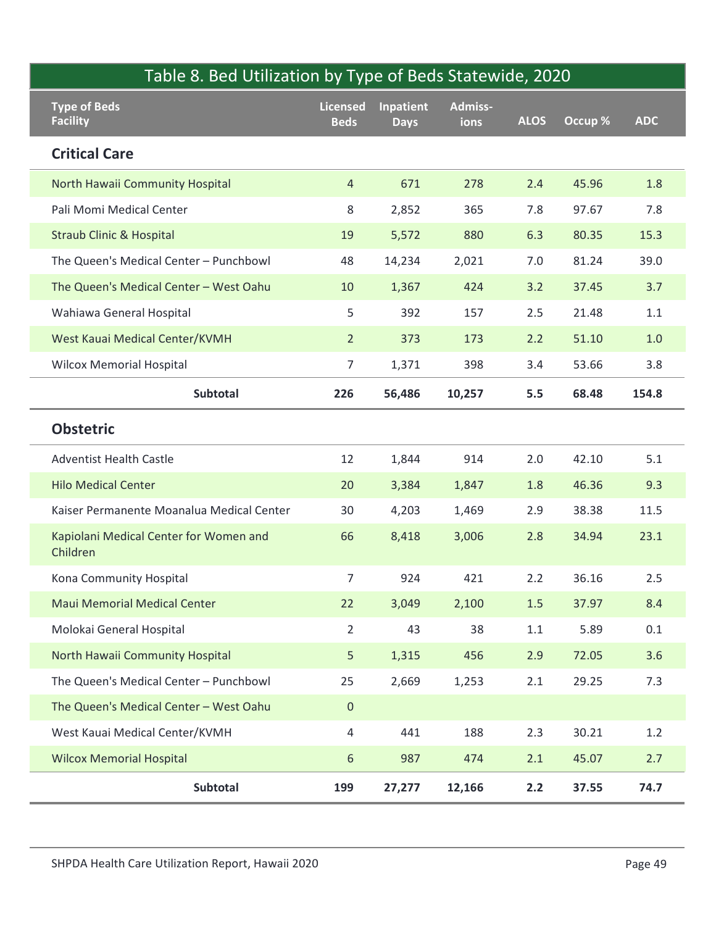| Table 8. Bed Utilization by Type of Beds Statewide, 2020 |                 |             |         |             |         |            |
|----------------------------------------------------------|-----------------|-------------|---------|-------------|---------|------------|
| <b>Type of Beds</b>                                      | <b>Licensed</b> | Inpatient   | Admiss- |             |         |            |
| <b>Facility</b>                                          | <b>Beds</b>     | <b>Days</b> | ions    | <b>ALOS</b> | Occup % | <b>ADC</b> |
| <b>Critical Care</b>                                     |                 |             |         |             |         |            |
| North Hawaii Community Hospital                          | $\overline{4}$  | 671         | 278     | 2.4         | 45.96   | 1.8        |
| Pali Momi Medical Center                                 | 8               | 2,852       | 365     | 7.8         | 97.67   | 7.8        |
| <b>Straub Clinic &amp; Hospital</b>                      | 19              | 5,572       | 880     | 6.3         | 80.35   | 15.3       |
| The Queen's Medical Center - Punchbowl                   | 48              | 14,234      | 2,021   | 7.0         | 81.24   | 39.0       |
| The Queen's Medical Center - West Oahu                   | 10              | 1,367       | 424     | 3.2         | 37.45   | 3.7        |
| Wahiawa General Hospital                                 | 5               | 392         | 157     | 2.5         | 21.48   | 1.1        |
| West Kauai Medical Center/KVMH                           | $2^{\circ}$     | 373         | 173     | 2.2         | 51.10   | $1.0$      |
| <b>Wilcox Memorial Hospital</b>                          | $\overline{7}$  | 1,371       | 398     | 3.4         | 53.66   | 3.8        |
| <b>Subtotal</b>                                          | 226             | 56,486      | 10,257  | 5.5         | 68.48   | 154.8      |
| <b>Obstetric</b>                                         |                 |             |         |             |         |            |
| <b>Adventist Health Castle</b>                           | 12              | 1,844       | 914     | $2.0$       | 42.10   | 5.1        |
| <b>Hilo Medical Center</b>                               | 20              | 3,384       | 1,847   | 1.8         | 46.36   | 9.3        |
| Kaiser Permanente Moanalua Medical Center                | 30              | 4,203       | 1,469   | 2.9         | 38.38   | 11.5       |
| Kapiolani Medical Center for Women and<br>Children       | 66              | 8,418       | 3,006   | 2.8         | 34.94   | 23.1       |
| Kona Community Hospital                                  | $\overline{7}$  | 924         | 421     | 2.2         | 36.16   | 2.5        |
| <b>Maui Memorial Medical Center</b>                      | 22              | 3,049       | 2,100   | 1.5         | 37.97   | 8.4        |
| Molokai General Hospital                                 | $\overline{2}$  | 43          | 38      | 1.1         | 5.89    | $0.1\,$    |
| North Hawaii Community Hospital                          | 5 <sup>1</sup>  | 1,315       | 456     | 2.9         | 72.05   | 3.6        |
| The Queen's Medical Center - Punchbowl                   | 25              | 2,669       | 1,253   | 2.1         | 29.25   | 7.3        |
| The Queen's Medical Center - West Oahu                   | $\overline{0}$  |             |         |             |         |            |
| West Kauai Medical Center/KVMH                           | $\overline{4}$  | 441         | 188     | 2.3         | 30.21   | 1.2        |
| <b>Wilcox Memorial Hospital</b>                          | 6               | 987         | 474     | 2.1         | 45.07   | 2.7        |
| <b>Subtotal</b>                                          | 199             | 27,277      | 12,166  | 2.2         | 37.55   | 74.7       |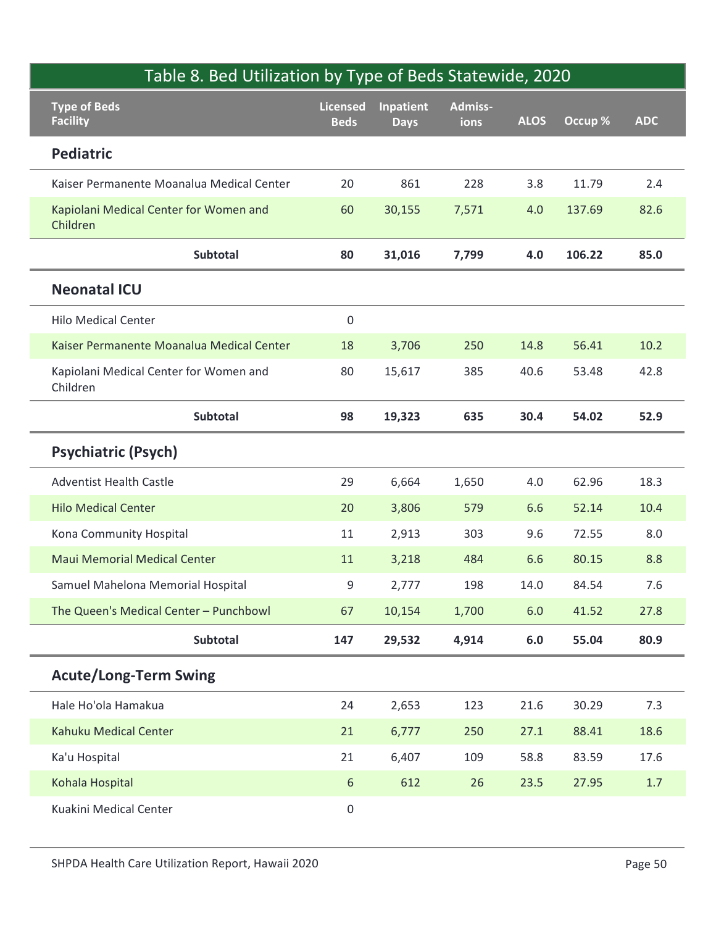| Table 8. Bed Utilization by Type of Beds Statewide, 2020 |                                |                          |                 |             |         |            |
|----------------------------------------------------------|--------------------------------|--------------------------|-----------------|-------------|---------|------------|
| <b>Type of Beds</b><br><b>Facility</b>                   | <b>Licensed</b><br><b>Beds</b> | Inpatient<br><b>Days</b> | Admiss-<br>ions | <b>ALOS</b> | Occup % | <b>ADC</b> |
| <b>Pediatric</b>                                         |                                |                          |                 |             |         |            |
| Kaiser Permanente Moanalua Medical Center                | 20                             | 861                      | 228             | 3.8         | 11.79   | 2.4        |
| Kapiolani Medical Center for Women and<br>Children       | 60                             | 30,155                   | 7,571           | 4.0         | 137.69  | 82.6       |
| Subtotal                                                 | 80                             | 31,016                   | 7,799           | 4.0         | 106.22  | 85.0       |
| <b>Neonatal ICU</b>                                      |                                |                          |                 |             |         |            |
| <b>Hilo Medical Center</b>                               | $\mathbf 0$                    |                          |                 |             |         |            |
| Kaiser Permanente Moanalua Medical Center                | 18                             | 3,706                    | 250             | 14.8        | 56.41   | 10.2       |
| Kapiolani Medical Center for Women and<br>Children       | 80                             | 15,617                   | 385             | 40.6        | 53.48   | 42.8       |
| Subtotal                                                 | 98                             | 19,323                   | 635             | 30.4        | 54.02   | 52.9       |
| <b>Psychiatric (Psych)</b>                               |                                |                          |                 |             |         |            |
| <b>Adventist Health Castle</b>                           | 29                             | 6,664                    | 1,650           | $4.0\,$     | 62.96   | 18.3       |
| <b>Hilo Medical Center</b>                               | 20                             | 3,806                    | 579             | 6.6         | 52.14   | 10.4       |
| Kona Community Hospital                                  | 11                             | 2,913                    | 303             | 9.6         | 72.55   | 8.0        |
| <b>Maui Memorial Medical Center</b>                      | 11                             | 3,218                    | 484             | 6.6         | 80.15   | 8.8        |
| Samuel Mahelona Memorial Hospital                        | $9\,$                          | 2,777                    | 198             | 14.0        | 84.54   | 7.6        |
| The Queen's Medical Center - Punchbowl                   | 67                             | 10,154                   | 1,700           | 6.0         | 41.52   | 27.8       |
| Subtotal                                                 | 147                            | 29,532                   | 4,914           | 6.0         | 55.04   | 80.9       |
| <b>Acute/Long-Term Swing</b>                             |                                |                          |                 |             |         |            |
| Hale Ho'ola Hamakua                                      | 24                             | 2,653                    | 123             | 21.6        | 30.29   | 7.3        |
| Kahuku Medical Center                                    | 21                             | 6,777                    | 250             | 27.1        | 88.41   | 18.6       |
| Ka'u Hospital                                            | 21                             | 6,407                    | 109             | 58.8        | 83.59   | 17.6       |
| Kohala Hospital                                          | 6                              | 612                      | 26              | 23.5        | 27.95   | $1.7$      |
| Kuakini Medical Center                                   | $\mathsf{O}\xspace$            |                          |                 |             |         |            |
|                                                          |                                |                          |                 |             |         |            |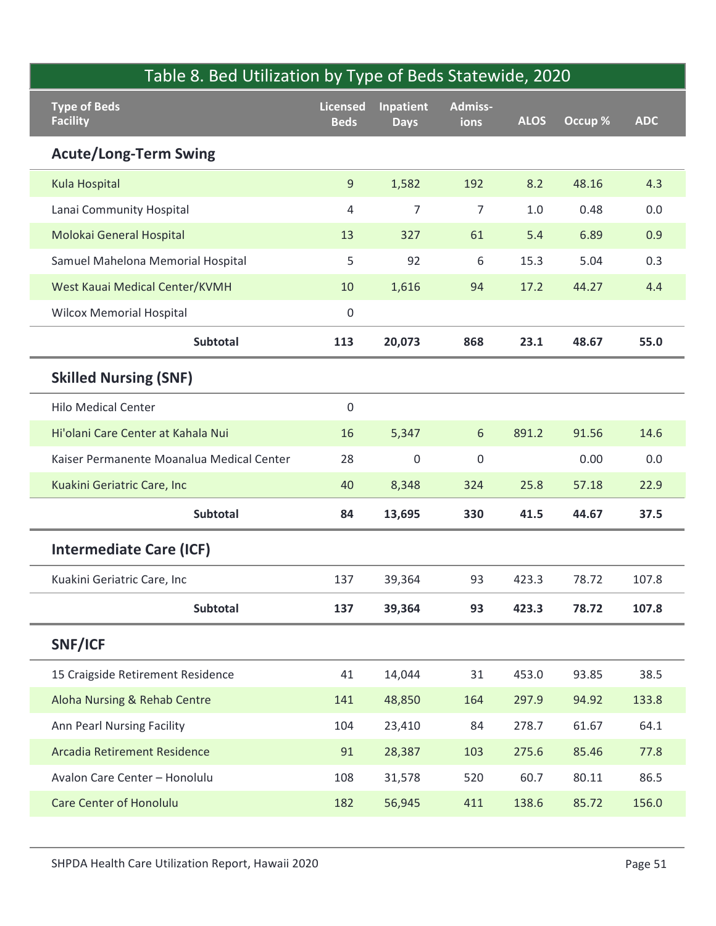| Table 8. Bed Utilization by Type of Beds Statewide, 2020 |                         |                          |                 |             |         |            |
|----------------------------------------------------------|-------------------------|--------------------------|-----------------|-------------|---------|------------|
| <b>Type of Beds</b><br><b>Facility</b>                   | Licensed<br><b>Beds</b> | Inpatient<br><b>Days</b> | Admiss-<br>ions | <b>ALOS</b> | Occup % | <b>ADC</b> |
| <b>Acute/Long-Term Swing</b>                             |                         |                          |                 |             |         |            |
| Kula Hospital                                            | 9                       | 1,582                    | 192             | 8.2         | 48.16   | 4.3        |
| Lanai Community Hospital                                 | 4                       | $\overline{7}$           | $\overline{7}$  | 1.0         | 0.48    | 0.0        |
| Molokai General Hospital                                 | 13                      | 327                      | 61              | 5.4         | 6.89    | 0.9        |
| Samuel Mahelona Memorial Hospital                        | 5                       | 92                       | 6               | 15.3        | 5.04    | 0.3        |
| West Kauai Medical Center/KVMH                           | 10                      | 1,616                    | 94              | 17.2        | 44.27   | 4.4        |
| <b>Wilcox Memorial Hospital</b>                          | $\mathbf 0$             |                          |                 |             |         |            |
| Subtotal                                                 | 113                     | 20,073                   | 868             | 23.1        | 48.67   | 55.0       |
| <b>Skilled Nursing (SNF)</b>                             |                         |                          |                 |             |         |            |
| <b>Hilo Medical Center</b>                               | $\mathsf 0$             |                          |                 |             |         |            |
| Hi'olani Care Center at Kahala Nui                       | 16                      | 5,347                    | 6               | 891.2       | 91.56   | 14.6       |
| Kaiser Permanente Moanalua Medical Center                | 28                      | $\boldsymbol{0}$         | $\mathsf{O}$    |             | 0.00    | 0.0        |
| Kuakini Geriatric Care, Inc                              | 40                      | 8,348                    | 324             | 25.8        | 57.18   | 22.9       |
| Subtotal                                                 | 84                      | 13,695                   | 330             | 41.5        | 44.67   | 37.5       |
| <b>Intermediate Care (ICF)</b>                           |                         |                          |                 |             |         |            |
| Kuakini Geriatric Care, Inc                              | 137                     | 39,364                   | 93              | 423.3       | 78.72   | 107.8      |
| Subtotal                                                 | 137                     | 39,364                   | 93              | 423.3       | 78.72   | 107.8      |
| SNF/ICF                                                  |                         |                          |                 |             |         |            |
| 15 Craigside Retirement Residence                        | 41                      | 14,044                   | 31              | 453.0       | 93.85   | 38.5       |
| Aloha Nursing & Rehab Centre                             | 141                     | 48,850                   | 164             | 297.9       | 94.92   | 133.8      |
| Ann Pearl Nursing Facility                               | 104                     | 23,410                   | 84              | 278.7       | 61.67   | 64.1       |
| Arcadia Retirement Residence                             | 91                      | 28,387                   | 103             | 275.6       | 85.46   | 77.8       |
| Avalon Care Center - Honolulu                            | 108                     | 31,578                   | 520             | 60.7        | 80.11   | 86.5       |
| <b>Care Center of Honolulu</b>                           | 182                     | 56,945                   | 411             | 138.6       | 85.72   | 156.0      |
|                                                          |                         |                          |                 |             |         |            |
| SHPDA Health Care Utilization Report, Hawaii 2020        |                         |                          |                 |             |         | Page 51    |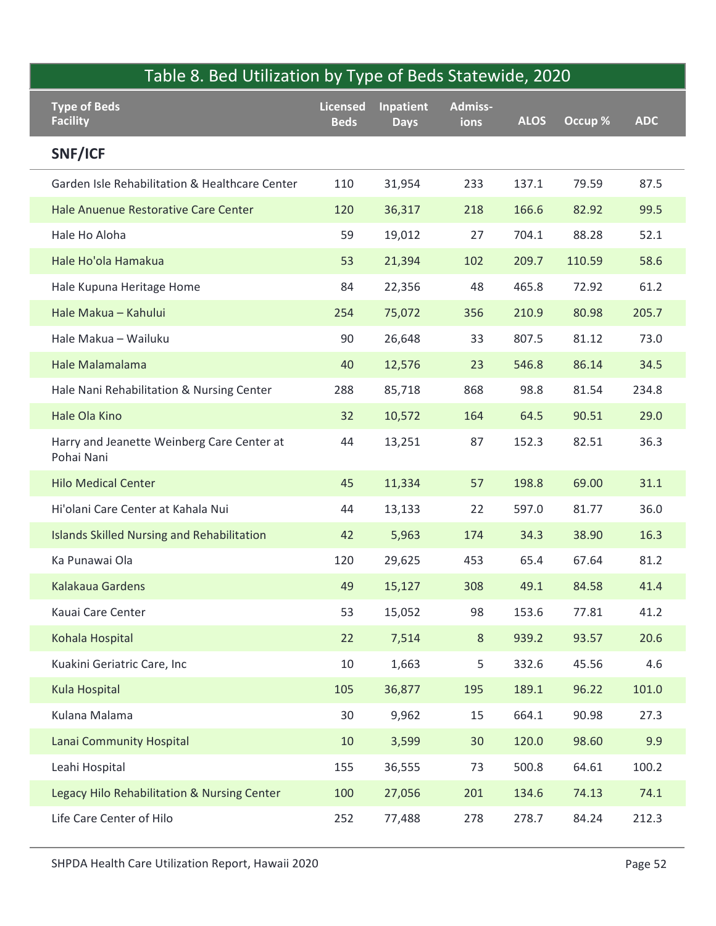| Table 8. Bed Utilization by Type of Beds Statewide, 2020 |                                |                          |                 |             |         |            |
|----------------------------------------------------------|--------------------------------|--------------------------|-----------------|-------------|---------|------------|
| <b>Type of Beds</b><br><b>Facility</b>                   | <b>Licensed</b><br><b>Beds</b> | Inpatient<br><b>Days</b> | Admiss-<br>ions | <b>ALOS</b> | Occup % | <b>ADC</b> |
| SNF/ICF                                                  |                                |                          |                 |             |         |            |
| Garden Isle Rehabilitation & Healthcare Center           | 110                            | 31,954                   | 233             | 137.1       | 79.59   | 87.5       |
| Hale Anuenue Restorative Care Center                     | 120                            | 36,317                   | 218             | 166.6       | 82.92   | 99.5       |
| Hale Ho Aloha                                            | 59                             | 19,012                   | 27              | 704.1       | 88.28   | 52.1       |
| Hale Ho'ola Hamakua                                      | 53                             | 21,394                   | 102             | 209.7       | 110.59  | 58.6       |
| Hale Kupuna Heritage Home                                | 84                             | 22,356                   | 48              | 465.8       | 72.92   | 61.2       |
| Hale Makua - Kahului                                     | 254                            | 75,072                   | 356             | 210.9       | 80.98   | 205.7      |
| Hale Makua - Wailuku                                     | 90                             | 26,648                   | 33              | 807.5       | 81.12   | 73.0       |
| Hale Malamalama                                          | 40                             | 12,576                   | 23              | 546.8       | 86.14   | 34.5       |
| Hale Nani Rehabilitation & Nursing Center                | 288                            | 85,718                   | 868             | 98.8        | 81.54   | 234.8      |
| Hale Ola Kino                                            | 32                             | 10,572                   | 164             | 64.5        | 90.51   | 29.0       |
| Harry and Jeanette Weinberg Care Center at<br>Pohai Nani | 44                             | 13,251                   | 87              | 152.3       | 82.51   | 36.3       |
| <b>Hilo Medical Center</b>                               | 45                             | 11,334                   | 57              | 198.8       | 69.00   | 31.1       |
| Hi'olani Care Center at Kahala Nui                       | 44                             | 13,133                   | 22              | 597.0       | 81.77   | 36.0       |
| <b>Islands Skilled Nursing and Rehabilitation</b>        | 42                             | 5,963                    | 174             | 34.3        | 38.90   | 16.3       |
| Ka Punawai Ola                                           | 120                            | 29,625                   | 453             | 65.4        | 67.64   | 81.2       |
| Kalakaua Gardens                                         | 49                             | 15,127                   | 308             | 49.1        | 84.58   | 41.4       |
| Kauai Care Center                                        | 53                             | 15,052                   | 98              | 153.6       | 77.81   | 41.2       |
| Kohala Hospital                                          | 22                             | 7,514                    | $8\phantom{1}$  | 939.2       | 93.57   | 20.6       |
| Kuakini Geriatric Care, Inc                              | 10                             | 1,663                    | 5               | 332.6       | 45.56   | 4.6        |
| Kula Hospital                                            | 105                            | 36,877                   | 195             | 189.1       | 96.22   | 101.0      |
| Kulana Malama                                            | 30                             | 9,962                    | 15              | 664.1       | 90.98   | 27.3       |
| Lanai Community Hospital                                 | 10                             | 3,599                    | 30              | 120.0       | 98.60   | 9.9        |
| Leahi Hospital                                           | 155                            | 36,555                   | 73              | 500.8       | 64.61   | 100.2      |
| Legacy Hilo Rehabilitation & Nursing Center              | 100                            | 27,056                   | 201             | 134.6       | 74.13   | 74.1       |
| Life Care Center of Hilo                                 | 252                            | 77,488                   | 278             | 278.7       | 84.24   | 212.3      |
| SHPDA Health Care Utilization Report, Hawaii 2020        |                                |                          |                 |             |         | Page 52    |

 $\overline{\phantom{a}}$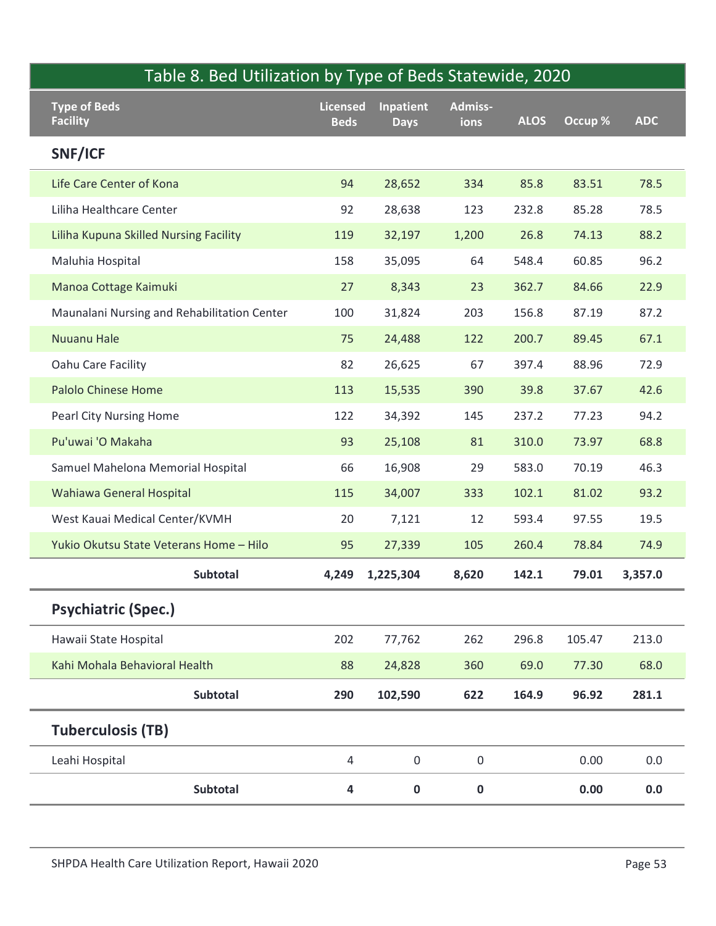| Table 8. Bed Utilization by Type of Beds Statewide, 2020 |                                |                          |                 |             |         |            |
|----------------------------------------------------------|--------------------------------|--------------------------|-----------------|-------------|---------|------------|
| <b>Type of Beds</b><br><b>Facility</b>                   | <b>Licensed</b><br><b>Beds</b> | Inpatient<br><b>Days</b> | Admiss-<br>ions | <b>ALOS</b> | Occup % | <b>ADC</b> |
| SNF/ICF                                                  |                                |                          |                 |             |         |            |
| Life Care Center of Kona                                 | 94                             | 28,652                   | 334             | 85.8        | 83.51   | 78.5       |
| Liliha Healthcare Center                                 | 92                             | 28,638                   | 123             | 232.8       | 85.28   | 78.5       |
| Liliha Kupuna Skilled Nursing Facility                   | 119                            | 32,197                   | 1,200           | 26.8        | 74.13   | 88.2       |
| Maluhia Hospital                                         | 158                            | 35,095                   | 64              | 548.4       | 60.85   | 96.2       |
| Manoa Cottage Kaimuki                                    | 27                             | 8,343                    | 23              | 362.7       | 84.66   | 22.9       |
| Maunalani Nursing and Rehabilitation Center              | 100                            | 31,824                   | 203             | 156.8       | 87.19   | 87.2       |
| <b>Nuuanu Hale</b>                                       | 75                             | 24,488                   | 122             | 200.7       | 89.45   | 67.1       |
| Oahu Care Facility                                       | 82                             | 26,625                   | 67              | 397.4       | 88.96   | 72.9       |
| <b>Palolo Chinese Home</b>                               | 113                            | 15,535                   | 390             | 39.8        | 37.67   | 42.6       |
| Pearl City Nursing Home                                  | 122                            | 34,392                   | 145             | 237.2       | 77.23   | 94.2       |
| Pu'uwai 'O Makaha                                        | 93                             | 25,108                   | 81              | 310.0       | 73.97   | 68.8       |
| Samuel Mahelona Memorial Hospital                        | 66                             | 16,908                   | 29              | 583.0       | 70.19   | 46.3       |
| Wahiawa General Hospital                                 | 115                            | 34,007                   | 333             | 102.1       | 81.02   | 93.2       |
| West Kauai Medical Center/KVMH                           | 20                             | 7,121                    | 12              | 593.4       | 97.55   | 19.5       |
| Yukio Okutsu State Veterans Home - Hilo                  | 95                             | 27,339                   | 105             | 260.4       | 78.84   | 74.9       |
| <b>Subtotal</b>                                          | 4,249                          | 1,225,304                | 8,620           | 142.1       | 79.01   | 3,357.0    |
| <b>Psychiatric (Spec.)</b>                               |                                |                          |                 |             |         |            |
| Hawaii State Hospital                                    | 202                            | 77,762                   | 262             | 296.8       | 105.47  | 213.0      |
| Kahi Mohala Behavioral Health                            | 88                             | 24,828                   | 360             | 69.0        | 77.30   | 68.0       |
| <b>Subtotal</b>                                          | 290                            | 102,590                  | 622             | 164.9       | 96.92   | 281.1      |
| <b>Tuberculosis (TB)</b>                                 |                                |                          |                 |             |         |            |
| Leahi Hospital                                           | 4                              | $\mathsf{O}$             | $\mathsf 0$     |             | 0.00    | $0.0\,$    |
| Subtotal                                                 | 4                              | $\mathbf 0$              | 0               |             | 0.00    | $0.0\,$    |
|                                                          |                                |                          |                 |             |         |            |
|                                                          |                                |                          |                 |             |         |            |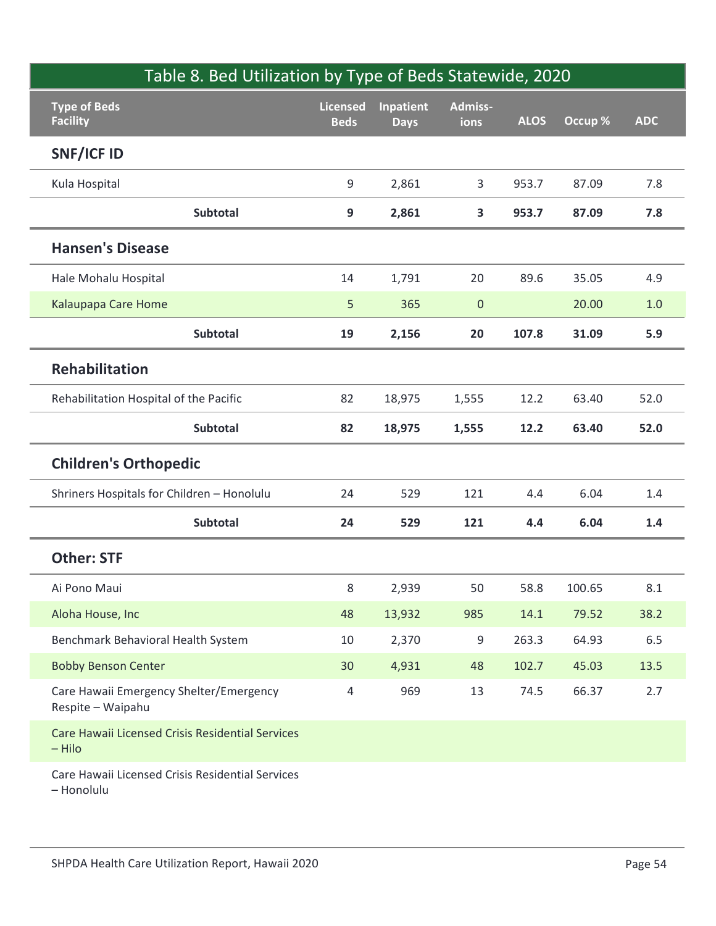| Table 8. Bed Utilization by Type of Beds Statewide, 2020       |                         |                          |                 |             |         |            |
|----------------------------------------------------------------|-------------------------|--------------------------|-----------------|-------------|---------|------------|
| <b>Type of Beds</b><br><b>Facility</b>                         | Licensed<br><b>Beds</b> | Inpatient<br><b>Days</b> | Admiss-<br>ions | <b>ALOS</b> | Occup % | <b>ADC</b> |
| <b>SNF/ICF ID</b>                                              |                         |                          |                 |             |         |            |
| Kula Hospital                                                  | 9                       | 2,861                    | 3               | 953.7       | 87.09   | 7.8        |
| Subtotal                                                       | 9                       | 2,861                    | 3               | 953.7       | 87.09   | 7.8        |
| <b>Hansen's Disease</b>                                        |                         |                          |                 |             |         |            |
| Hale Mohalu Hospital                                           | 14                      | 1,791                    | 20              | 89.6        | 35.05   | 4.9        |
| Kalaupapa Care Home                                            | 5                       | 365                      | $\mathbf 0$     |             | 20.00   | 1.0        |
| Subtotal                                                       | 19                      | 2,156                    | 20              | 107.8       | 31.09   | 5.9        |
| <b>Rehabilitation</b>                                          |                         |                          |                 |             |         |            |
| Rehabilitation Hospital of the Pacific                         | 82                      | 18,975                   | 1,555           | 12.2        | 63.40   | 52.0       |
| Subtotal                                                       | 82                      | 18,975                   | 1,555           | 12.2        | 63.40   | 52.0       |
| <b>Children's Orthopedic</b>                                   |                         |                          |                 |             |         |            |
| Shriners Hospitals for Children - Honolulu                     | 24                      | 529                      | 121             | 4.4         | 6.04    | 1.4        |
| Subtotal                                                       | 24                      | 529                      | 121             | 4.4         | 6.04    | 1.4        |
| <b>Other: STF</b>                                              |                         |                          |                 |             |         |            |
| Ai Pono Maui                                                   | 8                       | 2,939                    | 50              | 58.8        | 100.65  | 8.1        |
| Aloha House, Inc                                               | 48                      | 13,932                   | 985             | 14.1        | 79.52   | 38.2       |
| Benchmark Behavioral Health System                             | 10                      | 2,370                    | 9               | 263.3       | 64.93   | $6.5\,$    |
| <b>Bobby Benson Center</b>                                     | 30                      | 4,931                    | 48              | 102.7       | 45.03   | 13.5       |
| Care Hawaii Emergency Shelter/Emergency<br>Respite - Waipahu   | 4                       | 969                      | 13              | 74.5        | 66.37   | 2.7        |
| Care Hawaii Licensed Crisis Residential Services<br>$-$ Hilo   |                         |                          |                 |             |         |            |
| Care Hawaii Licensed Crisis Residential Services<br>- Honolulu |                         |                          |                 |             |         |            |